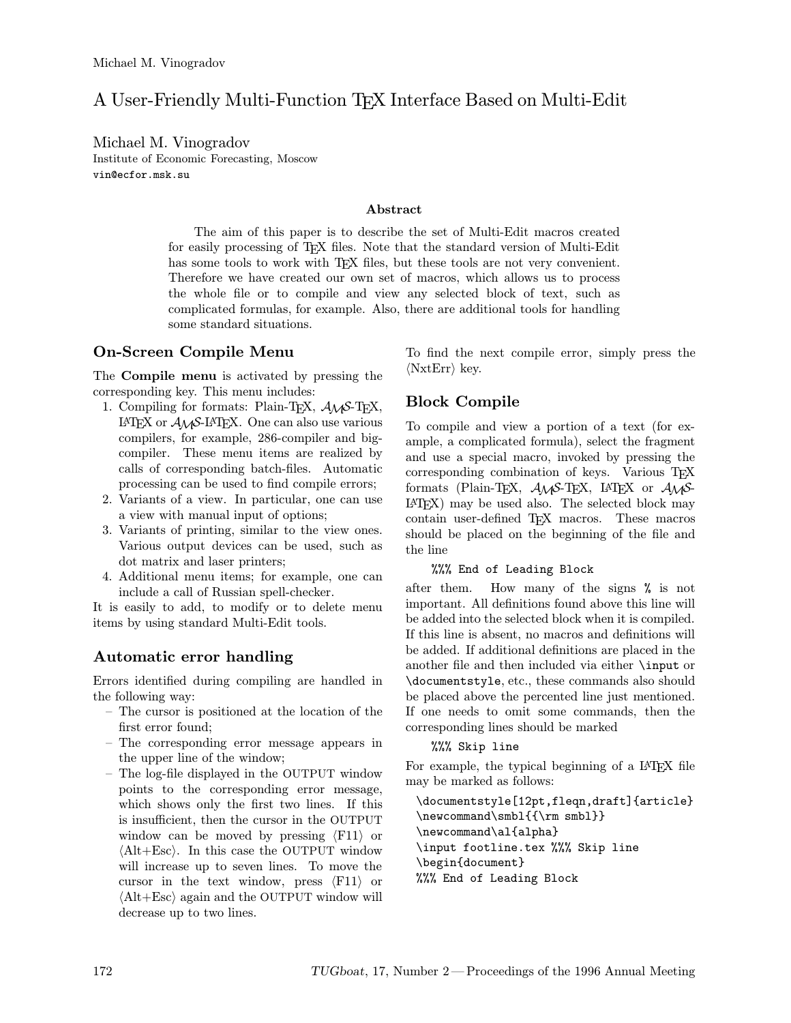# A User-Friendly Multi-Function TEX Interface Based on Multi-Edit

Michael M. Vinogradov Institute of Economic Forecasting, Moscow vin@ecfor.msk.su

#### Abstract

The aim of this paper is to describe the set of Multi-Edit macros created for easily processing of TEX files. Note that the standard version of Multi-Edit has some tools to work with T<sub>EX</sub> files, but these tools are not very convenient. Therefore we have created our own set of macros, which allows us to process the whole file or to compile and view any selected block of text, such as complicated formulas, for example. Also, there are additional tools for handling some standard situations.

# On-Screen Compile Menu

The Compile menu is activated by pressing the corresponding key. This menu includes:

- 1. Compiling for formats: Plain-T<sub>E</sub>X,  $\mathcal{A}_{\mathcal{M}}$ S-T<sub>E</sub>X, LAT<sub>EX</sub> or  $A_{\mathcal{M}}$ S-LAT<sub>EX</sub>. One can also use various compilers, for example, 286-compiler and bigcompiler. These menu items are realized by calls of corresponding batch-files. Automatic processing can be used to find compile errors;
- 2. Variants of a view. In particular, one can use a view with manual input of options;
- 3. Variants of printing, similar to the view ones. Various output devices can be used, such as dot matrix and laser printers;
- 4. Additional menu items; for example, one can include a call of Russian spell-checker.

It is easily to add, to modify or to delete menu items by using standard Multi-Edit tools.

# Automatic error handling

Errors identified during compiling are handled in the following way:

- The cursor is positioned at the location of the first error found;
- The corresponding error message appears in the upper line of the window;
- The log-file displayed in the OUTPUT window points to the corresponding error message, which shows only the first two lines. If this is insufficient, then the cursor in the OUTPUT window can be moved by pressing  $\langle$ F11 $\rangle$  or  $\langle$ Alt+Esc $\rangle$ . In this case the OUTPUT window will increase up to seven lines. To move the cursor in the text window, press  $\langle F11 \rangle$  or  $\langle$ Alt+Esc $\rangle$  again and the OUTPUT window will decrease up to two lines.

To find the next compile error, simply press the  $\langle$ NxtErr $\rangle$  key.

# Block Compile

To compile and view a portion of a text (for example, a complicated formula), select the fragment and use a special macro, invoked by pressing the corresponding combination of keys. Various TEX formats (Plain-TEX,  $\mathcal{A}_{\mathcal{M}}$ S-TEX, L<sup>AT</sup>EX or  $\mathcal{A}_{\mathcal{M}}$ S-LATEX) may be used also. The selected block may contain user-defined TEX macros. These macros should be placed on the beginning of the file and the line

#### %%% End of Leading Block

after them. How many of the signs % is not important. All definitions found above this line will be added into the selected block when it is compiled. If this line is absent, no macros and definitions will be added. If additional definitions are placed in the another file and then included via either \input or \documentstyle, etc., these commands also should be placed above the percented line just mentioned. If one needs to omit some commands, then the corresponding lines should be marked

#### %%% Skip line

For example, the typical beginning of a IAT<sub>EX</sub> file may be marked as follows:

\documentstyle[12pt,fleqn,draft]{article} \newcommand\smbl{{\rm smbl}} \newcommand\al{alpha} \input footline.tex %%% Skip line \begin{document} %%% End of Leading Block